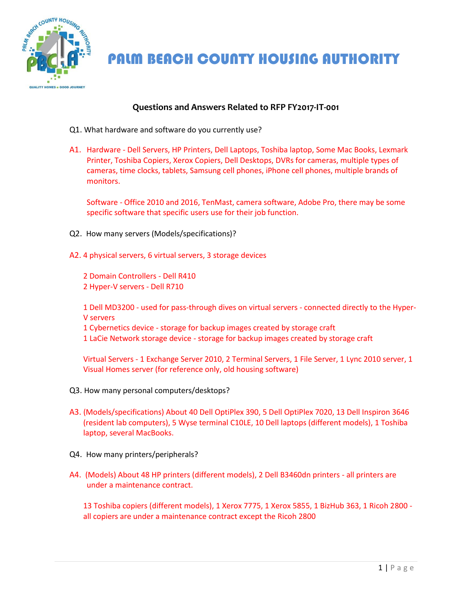

PALM BEACH COUNTY HOUSING AUTHORITY

## **Questions and Answers Related to RFP FY2017-IT-001**

- Q1. What hardware and software do you currently use?
- A1. Hardware Dell Servers, HP Printers, Dell Laptops, Toshiba laptop, Some Mac Books, Lexmark Printer, Toshiba Copiers, Xerox Copiers, Dell Desktops, DVRs for cameras, multiple types of cameras, time clocks, tablets, Samsung cell phones, iPhone cell phones, multiple brands of monitors.

Software - Office 2010 and 2016, TenMast, camera software, Adobe Pro, there may be some specific software that specific users use for their job function.

- Q2. How many servers (Models/specifications)?
- A2. 4 physical servers, 6 virtual servers, 3 storage devices

2 Domain Controllers - Dell R410 2 Hyper-V servers - Dell R710

1 Dell MD3200 - used for pass-through dives on virtual servers - connected directly to the Hyper-V servers

- 1 Cybernetics device storage for backup images created by storage craft
- 1 LaCie Network storage device storage for backup images created by storage craft

Virtual Servers - 1 Exchange Server 2010, 2 Terminal Servers, 1 File Server, 1 Lync 2010 server, 1 Visual Homes server (for reference only, old housing software)

- Q3. How many personal computers/desktops?
- A3. (Models/specifications) About 40 Dell OptiPlex 390, 5 Dell OptiPlex 7020, 13 Dell Inspiron 3646 (resident lab computers), 5 Wyse terminal C10LE, 10 Dell laptops (different models), 1 Toshiba laptop, several MacBooks.
- Q4. How many printers/peripherals?
- A4. (Models) About 48 HP printers (different models), 2 Dell B3460dn printers all printers are under a maintenance contract.

13 Toshiba copiers (different models), 1 Xerox 7775, 1 Xerox 5855, 1 BizHub 363, 1 Ricoh 2800 all copiers are under a maintenance contract except the Ricoh 2800